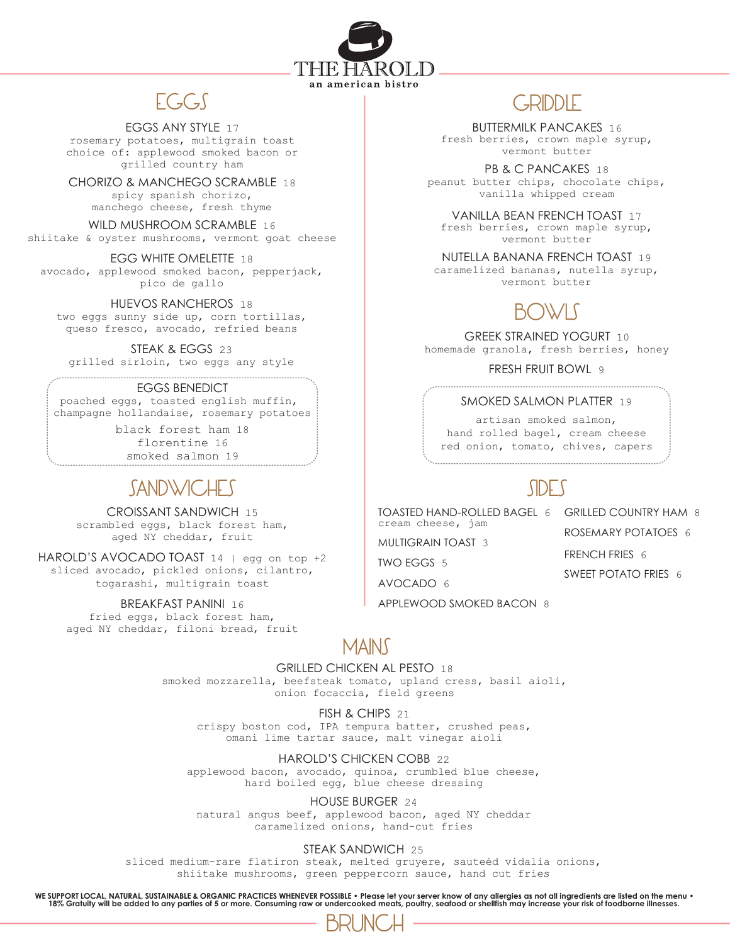

#### EGGS ANY STYLE 17

rosemary potatoes, multigrain toast choice of: applewood smoked bacon or grilled country ham

CHORIZO & MANCHEGO SCRAMBLE 18

spicy spanish chorizo, manchego cheese, fresh thyme

WILD MUSHROOM SCRAMBLE 16

shiitake & oyster mushrooms, vermont goat cheese

EGG WHITE OMELETTE 18 avocado, applewood smoked bacon, pepperjack, pico de gallo

HUEVOS RANCHEROS 18 two eggs sunny side up, corn tortillas, queso fresco, avocado, refried beans

STEAK & EGGS 23

grilled sirloin, two eggs any style

### EGGS BENEDICT

poached eggs, toasted english muffin, champagne hollandaise, rosemary potatoes

> black forest ham 18 florentine 16 smoked salmon 19

## **SANDWICHES**

CROISSANT SANDWICH 15 scrambled eggs, black forest ham, aged NY cheddar, fruit

HAROLD'S AVOCADO TOAST 14 | egg on top +2 sliced avocado, pickled onions, cilantro, togarashi, multigrain toast

BREAKFAST PANINI 16

fried eggs, black forest ham, aged NY cheddar, filoni bread, fruit

### EGGS GRIDDLE

BUTTERMILK PANCAKES 16 fresh berries, crown maple syrup, vermont butter

PB & C PANCAKES 18 peanut butter chips, chocolate chips, vanilla whipped cream

VANILLA BEAN FRENCH TOAST 17 fresh berries, crown maple syrup, vermont butter

NUTELLA BANANA FRENCH TOAST 19 caramelized bananas, nutella syrup, vermont butter

# BOWLS

GREEK STRAINED YOGURT 10 homemade granola, fresh berries, honey

FRESH FRUIT BOWL 9

### SMOKED SALMON PLATTER 19

artisan smoked salmon, hand rolled bagel, cream cheese red onion, tomato, chives, capers

## SIDES

TOASTED HAND-ROLLED BAGEL 6 GRILLED COUNTRY HAM 8 cream cheese, jam

MULTIGRAIN TOAST 3

TWO EGGS 5

AVOCADO 6

APPLEWOOD SMOKED BACON 8

MAINS

GRILLED CHICKEN AL PESTO 18

smoked mozzarella, beefsteak tomato, upland cress, basil aioli, onion focaccia, field greens

FISH & CHIPS 21 crispy boston cod, IPA tempura batter, crushed peas, omani lime tartar sauce, malt vinegar aioli

HAROLD'S CHICKEN COBB 22 applewood bacon, avocado, quinoa, crumbled blue cheese, hard boiled egg, blue cheese dressing

HOUSE BURGER 24 natural angus beef, applewood bacon, aged NY cheddar caramelized onions, hand-cut fries

STEAK SANDWICH 25

sliced medium-rare flatiron steak, melted gruyere, sauteéd vidalia onions, shiitake mushrooms, green peppercorn sauce, hand cut fries

WE SUPPORT LOCAL, NATURAL, SUSTAINABLE & ORGANIC PRACTICES WHENEVER POSSIBLE . Please let your server know of any allergies as not all ingredients are listed on the menu .<br>18% Gratuity will be added to any parties of 5 or



ROSEMARY POTATOES 6 FRENCH FRIES 6 SWEET POTATO FRIES 6